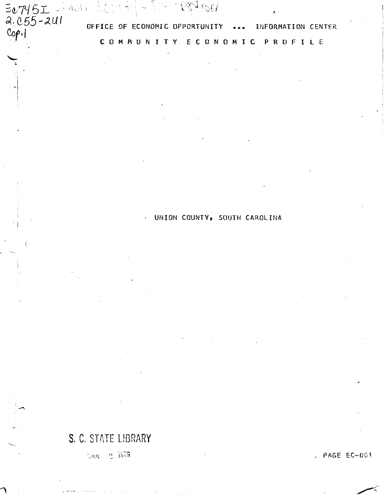$\frac{5.7451}{2.055 - 241}$  office of ECONOMIC OPPORTUNITY OFFICE OF ECONOMIC OPPORTUNITY ... INFORMATION CENTER ECONOMIC PROFILE COMMUNITY

UNION COUNTY, SOUTH CAROLINA

# S. C. STATE LIBRARY

 $-300 - 2.1575$ 

. PAGE EC-001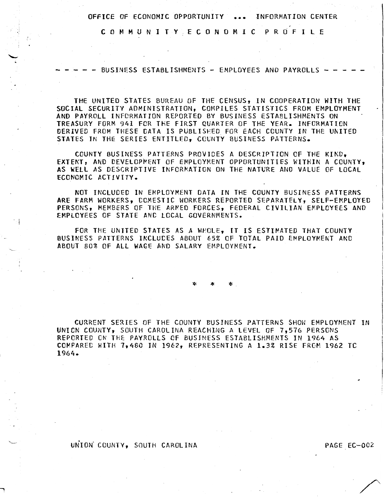C 0 M M U N I T Y E C 0 N 0 M I C P R 0 F I L E

.;

 $\cdot$  !

BUSINESS ESTABLISHMENTS - EMPLOYEES AND PAYROLLS -

THE UNITED STATES BUREAU Of THE CENSUS, IN COOPERATION WITH THE SOCIAL SECURITY ADMINISTRATION, COMPILES STATISTICS FROM EMPLOYMENT AND PAYROLL INFORMATION REPORTED BY BUSINESS ESTABLISHMENTS ON TREASURY FORM 941 FOR THE FIRST QUARTER OF THE YEAR. INFORMATION DERIVED FROM THESE DATA IS PUBLISHED FOR EACH COUNTY IN THE UNITED STATES IN THE SERIES ENTITLED, COUNTY BUSINESS PATTERNS.

COUNTY BUSINESS PATTERNS PROVIDES A DESCRIPTION OF THE KIKO, EXTENT, AND DEVELOPMENT OF EMPLOYMENT OPPORTUNITIES WITHIN A COUNTY, AS WELL AS DESCRIPTIVE INFORMATION ON THE NATURE AND VALUE OF LOCAL ECONOMIC ACTIVITY.

NOT INCLUDED IN EMPLOYMENT DATA IN THE COUNTY BUSINESS PATTERNS ARE FARM WORKERS, DOMESTIC WORKERS REPORTED SEPARATELY, SELF-EMPLOYED PERSONS, MEMBERS OF THE ARMED FORCES, FEDERAL CIVILIAN EMPLOYEES AND EMPLOYEES OF STATE ANC LOCAL GOVERNMENTS •

FOR THE UNITED STATES AS A WHOLE, IT IS ESTIMATED THAT COUNTY BUSINESS PATTERNS INCLUDES ABOUT 65% OF TOTAL PAID EMPLOYMENT AND ABOUT 80% OF ALL WAGE AND SALARY EMPLOYMENT.

\* \* \*

CURRENT SERIES OF THE COUNTY BUSINESS PATTERNS SHOW EMPLOYMENT IN UNION COUNTY, SOUTH CAROLINA REACHING A LEVEL OF 7,576 PERSONS REPORTED CN THE PAYROLLS OF BUSINESS ESTABLISHMENTS IN 1964 AS COMPARED WITH 7,460 IN 1962, REPRESENTING A 1.3% RISE FROM 1962 TC 1964.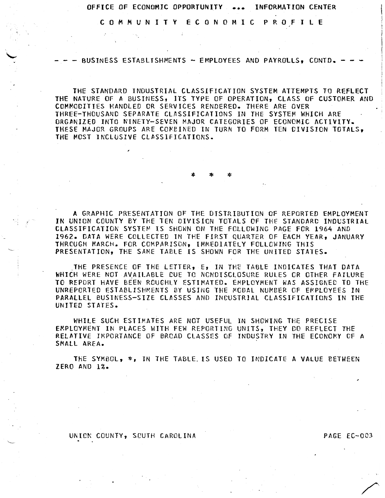C 0 M M U N I T Y E C 0 N 0 M I C P R 0 F I L E

- - BUSINESS ESTABLISHMENTS - EMPLOYEES AND PAYROLLS, CONTD.

THE STANDARD INDUSTRIAL CLASSIFICATION SYSTEM ATTEMPTS TO REFLECT THE NATURE OF A BUSINESS, ITS TYPE OF OPERATION, CLASS OF CUSTOMER AND COMMODITIES HANDLED OR SERVICES RENDERED. THERE ARE OVER THREE-THOUSAND SEPARATE CLASSIFICATIONS IN THE SYSTEM WHICH ARE ORGANIZED INTO NINETY-SEVEN MAJOR CATEGORIES OF ECONOMIC ACTIVITY. THESE MAJOR GROUPS ARE COMBINED IN TURN TO FORM TEN DIVISION TOTALS, THE MOST INCLUSIVE CLASSIFICATIONS.

A GRAPHIC PRESENTATION OF THE DISTRIBUTION OF REPORTED EMPLOYMENT IN UNION COUNTY BY THE TEN DIVISION TOTALS OF THE STANDARD INDUSTRIAL CLASSIFICATION SYSTEM IS SHOWN ON THE FOLLOWING PAGE FOR 1964 AND 1962. DATA WERE COLLECTED IN THE FIRST QUARTER OF EACH YEAR, JANUARY THROUGH MARCH. FOR COMPARISON, IMMEDIATELY FOLLOWING THIS PRESENTATION, THE SAME TABLE IS SHOWN FOR THE UNITED STATES.

\* \* \*

THE PRESENCE OF THE LETTER, E, IN THE TABLE INDICATES THAT DATA WHICH WERE NOT AVAILABLE DUE TO NONDISCLOSURE RULES OR OTHER FAILURE TO REPORT HAVE BEEN ROUGHLY ESTIMATED. EMPLOYMENT WAS ASSIGNEC TO THE UNREPORTED ESTABLISHMENTS BY USING THE MODAL NUMBER OF EMPLOYEES IN PARALLEL BUSINESS-SIZE CLASSES ANO INCUSTRIAL CLASSIFICATIONS IN THE UNITED STATES.

WHILE SUCH ESTIMATES ARE NOT USEFUL IN SHOWING THE PRECISE EMPLOYMENT IN PLACES WITH FEW REPORTING UNITS, THEY DO REFLECT THE RELATIVE IMPORTANCE OF BROAD CLASSES OF INDUSTRY IN THE ECONOMY CF A SMALL AREA.

THE SYMBOL, \*, IN THE TABLE. IS USED TO INDICATE A VALUE BETWEEN ZERO AND 1%.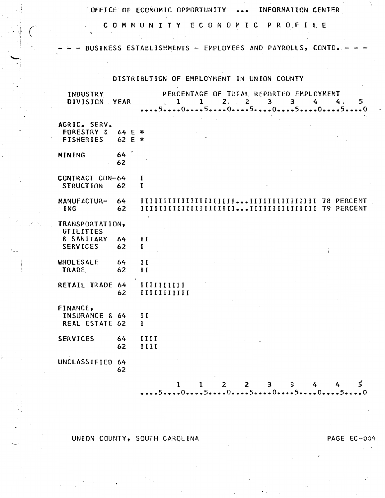COMMUNITY ECONOMIC PROFILE

BUSINESS ESTABLISHMENTS - EMPLOYEES AND PAYROLLS, CONTD.

DISTRIBUTION OF EMPLOYMENT IN UNION COUNTY

| INDUSTRY<br><b>DIVISION</b>                               | YEAR             |                             | $\mathbf{I}$               | $\mathbf{1}$ | 2, 2         |             | 3 <sup>1</sup><br>$\overline{3}$ | PERCENTAGE OF TOTAL REPORTED EMPLOYMENT<br>4                     | 4.<br>5<br>5050505005         |
|-----------------------------------------------------------|------------------|-----------------------------|----------------------------|--------------|--------------|-------------|----------------------------------|------------------------------------------------------------------|-------------------------------|
| AGRIC. SERV.<br><b>FORESTRY &amp;</b><br><b>FISHERIES</b> | 64 E *<br>62 E * |                             |                            |              |              |             |                                  |                                                                  |                               |
| MINING                                                    | 64<br>62         |                             |                            |              |              |             |                                  |                                                                  |                               |
| CONTRACT CON-64<br><b>STRUCTION</b>                       | 62               | 1<br>$\mathbf I$            |                            |              |              |             |                                  |                                                                  |                               |
| MANUFACTUR-<br><b>ING</b>                                 | 64<br>62         |                             |                            |              |              |             |                                  |                                                                  |                               |
| TRANSPORTATION,<br>UTILITIES                              |                  |                             |                            |              |              |             |                                  |                                                                  |                               |
| & SANITARY<br><b>SERVICES</b>                             | 64<br>62         | $\mathbf{H}$<br>$\mathbf I$ |                            |              |              |             |                                  |                                                                  |                               |
| WHOLESALE<br><b>TRADE</b>                                 | 64<br>62         | $_{II}$<br>$\mathbf{H}$     |                            |              |              |             |                                  |                                                                  |                               |
| RETAIL TRADE 64                                           | 62               |                             | IIIIIIIIII<br>IIIIIIIIIIII |              |              |             |                                  |                                                                  |                               |
| FINANCE,<br><b>INSURANCE &amp; 64</b><br>REAL ESTATE 62   |                  | II<br>$\mathbf{I}$          |                            |              |              |             |                                  |                                                                  |                               |
| <b>SERVICES</b>                                           | 64<br>62         | III<br>IIII                 |                            |              |              |             |                                  |                                                                  |                               |
| UNCLASSIFIED 64                                           | 62               |                             |                            |              |              |             |                                  |                                                                  |                               |
|                                                           |                  |                             | 1                          | $\mathbf{I}$ | $\mathbf{2}$ | $2^{\circ}$ | 3 <sup>1</sup><br>3              | 4<br>$5 \quad 0 \quad 5 \quad 0 \quad 5 \quad 0 \quad 5 \quad 0$ | 5.<br>4<br>Б.<br>$\mathbf{a}$ |

UNION COUNTY, SOUTH CAROLINA

PAGE EC-004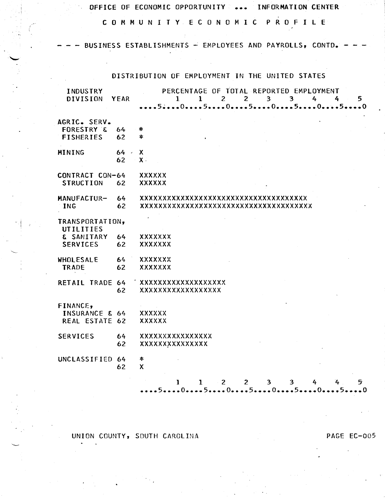C 0 M M U N I T Y E C 0 N 0 M I C P R 0 F I L E

BUSINESS ESTABLISHMENTS  $-$  EMPLOYEES AND PAYROLLS, CONTD.

## DISTRIBUTION OF EMPLOYMENT IN THE UNITED STATES

| <b>INDUSTRY</b><br><b>DIVISION</b>                        | <b>YEAR</b> | PERCENTAGE OF TOTAL REPORTED EMPLOYMENT<br>$2^{\circ}$<br>$\overline{3}$<br>$\mathcal{L}_{\mathbf{r}}$<br>1<br>1<br>$2^{\circ}$<br>3.<br>4<br>5. |
|-----------------------------------------------------------|-------------|--------------------------------------------------------------------------------------------------------------------------------------------------|
| AGRIC. SERV.<br><b>FORESTRY &amp;</b><br><b>FISHERIES</b> | 64<br>62    | *<br>*                                                                                                                                           |
| MINING                                                    | 64<br>62    | X.<br>$\mathsf{X}$ .                                                                                                                             |
| CONTRACT CON-64<br><b>STRUCTION</b>                       | 62          | <b>XXXXXX</b><br><b>XXXXXX</b>                                                                                                                   |
| MANUFACTUR-<br><b>ING</b>                                 | 64<br>62    | xxxxxxxxxxxxxxxxxxxxxxxxxxxxxxxx<br>xxxxxxxxxxxxxxxxxxxxxxxxxxxxxxxx                                                                             |
| TRANSPORTATION,<br>UTILITIES                              |             |                                                                                                                                                  |
| & SANITARY<br><b>SERVICES</b>                             | 64<br>62    | <b>XXXXXXX</b><br><b>XXXXXXX</b>                                                                                                                 |
| WHOLESALE<br>TRADE                                        | 64<br>62    | <b>XXXXXXX</b><br>XXXXXXX                                                                                                                        |
| RETAIL TRADE 64                                           | 62          | <b>XXXXXXXXXXXXXXXXXX</b><br><b>XXXXXXXXXXXXXXXXX</b>                                                                                            |
| FINANCE,<br><b>INSURANCE &amp; 64</b><br>REAL ESTATE 62   |             | <b>XXXXXX</b><br><b>XXXXXX</b>                                                                                                                   |
| <b>SERVICES</b>                                           | 64<br>62    | <b>XXXXXXXXXXXXXXX</b><br><b>XXXXXXXXXXXXXX</b>                                                                                                  |
| UNCLASSIFIED 64                                           | 62          | *<br>$\boldsymbol{\mathsf{X}}$                                                                                                                   |
|                                                           |             | $1 \t2$<br>$\overline{2}$<br>3 <sup>1</sup><br>5<br>ı.<br>3<br>4<br>- - 5 -<br>$\ddotsc 0$                                                       |

UNION COUNTY, SOUTH CAROLINA PAGE EC-005

. *i*  I

'--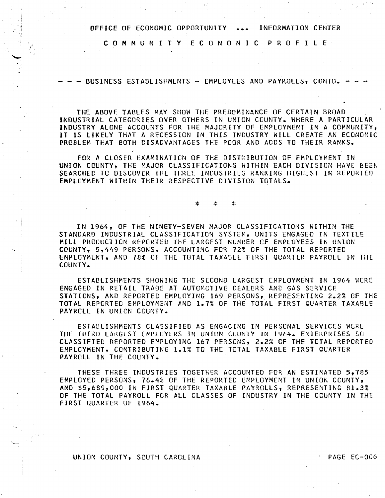C 0 M M U N I T Y E C 0 N 0 M I C P R 0 F I L E

 $\zeta$ 

 $\cdot$  i

BUSINESS ESTABLISHMENTS - EMPLOYEES AND PAYROLLS, CONTD.

THE ABOVE TABLES MAY SHOW THE PREDOMINANCE OF CERTAIN BROAD ...<br>INDUSTRIAL CATEGORIES OVER OTHERS IN UNION COUNTY. WHERE A PARTICULAR INDUSTRY ALONE ACCOUNTS FOR THE MAJORITY OF EMPLOYMENT IN A COPMUNITY, IT IS LIKELY THAT A RECESSION IN THIS INDUSTRY WILL CREATE AN ECONOMIC PROBLEM THAT BOTH DISADVANTAGES THE POOR AND ADDS TO THEIR RANKS.

FOR A CLOSER EXAMINATION OF THE DISTRIBUTION OF EMPLOYMENT IN UNION COUNTY, THE MAJOR CLASSIFICATIONS WITHIN EACH DIVISION HAVE BEEN SEARCHED TO DISCOVER THE THREE INDUSTRIES RANKING HIGHEST IN REPORTED EMPLOYMENT WITHIN THEIR RESPECTIVE DIVISION TOTALS.

IN 1964, OF THE NINETY-SEVEN MAJOR CLASSIFICATIONS WITHIN THE STANDARD INDUSTRIAL CLASSIFICATION SYSTEM, UNITS ENGAGED IN TEXTILE MILL PRODUCTION REPORTED THE LARGEST NUMBER OF EMPLOYEES IN UNION COUNTY, 5,449 PERSONS, ACCOUNTING FOR 72% OF THE TOTAL REPORTED EMPLOYMENT, AND 78% OF THE TOTAL TAXABLE FIRST QUARTER PAYROLL IN THE COUNTY.

\* \* \*

ESTABLISHMENTS SHOWING THE SECOND LARGEST EMPLOYMENT IN 1964 WERE ENGAGED IN RETAIL TRADE AT AUTOMOTIVE DEALERS AND GAS SERVICE STATIONS, AND REPORTED EMPLOYING 169 PERSONS, REPRESENTING 2.2% OF THE TOTAL REPORTED EMPLOYMENT AND 1.7% OF THE TOTAL FIRST QUARTER TAXABLE PAYROLL IN UNION COUNTY.

ESTABLISHMENTS CLASSIFIED AS ENGAGING IN PERSONAL SERVICES WERE THE THIRD LARGEST EMPLOYERS IN UNION COUNTY IN 1964. ENTERPRISES SO CLASSIFIED REPORTED EMPLOYING 167 PERSONS, 2.2% OF THE TOTAL REPORTED EMPLOYMENT, CONTRIBUTING 1.1% TO THE TOTAL TAXABLE FIRST QUARTER PAYROLL IN THE COUNTY.

THESE THREE INDUSTRIES TOGETHER ACCOUNTED FOR AN ESTIMATED 5,785 EMPLOYED PERSONS, 76.4% OF THE REPORTED EMPLOYMENT IN UNION COUNTY, AND \$5,689,000 IN FIRST QUARTER TAXABLE PAYROLLS, REPRESENTING 81.3% OF THE TOTAL PAYROLL FCR ALL CLASSES OF INDUSTRY IN THE COUNTY IN THE FIRST QUARTER OF 1964.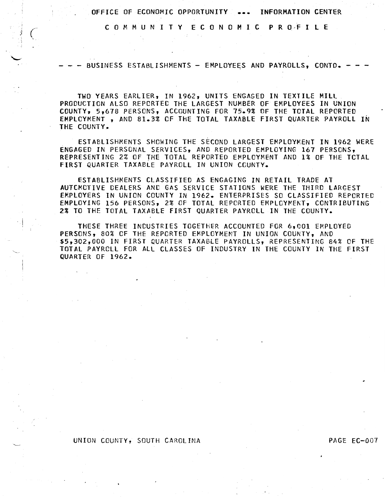C 0 M M U N I T Y E C 0 N 0 M I C P R O·F I L E

BUSINESS ESTABLISHMENTS - EMPLOYEES AND PAYROLLS, CONTD. -

TWO YEARS EARLIER, IN 1962, UNITS ENGAGED IN TEXTILE MILL PRODUCTION ALSO REPORTED THE LARGEST NUMBER OF EMPLOYEES IN UNION COUNTY, 5,678 PERSONS, ACCOUNTING FOR 75.9% OF THE TOTAL REPORTED EMPLOYMENT , AND 81.3% OF THE TOTAL TAXABLE FIRST QUARTER PAYROLL IN THE COUNTY.

ESTABLISHMENTS SHOWING THE SECOND LARGEST EMPLOYMENT IN 1962 WERE ENGAGED IN PERSONAL SERVICES, AND REPORTED EMPLOYING 167 PERSONS, REPRESENTING 2% OF THE TOTAL REPORTED EMPLOYMENT AND 1% OF THE TOTAL FIRST QUARTER TAXABLE PAYROLL IN UNION COUNTY.

ESTABLISHMENTS CLASSIFIED AS ENGAGING IN RETAIL TRADE AT AUTCMCTIVE DEALERS AND GAS SERVICE STATIONS WERE THE THIRD LARGEST EMPLOYERS IN UNION COUNTY IN 1962. ENTERPRISES SO CLASSIFIED REPORTED EMPLOYING 156 PERSONS, 2% OF TOTAL REPORTED EMPLOYMENT, CONTRIBUTING 2% TO THE TOTAL TAXABLE FIRST QUARTER PAYROLL IN THE COUNTY.

THESE THREE INDUSTRIES TOGETHER ACCOUNTED FOR 6,001 EMPLOYED PERSONS, 80% OF THE REPORTED EMPLOYMENT IN UNION COUNTY, AND \$5,302,000 IN FIRST QUARTER TAXABLE PAYROLLS, REPRESENTING 84% OF THE TOTAL PAYRCLL FOR All CLASSES OF INDUSTRY IN THE COUNTY IN THE FIRST QUARTER OF 1962.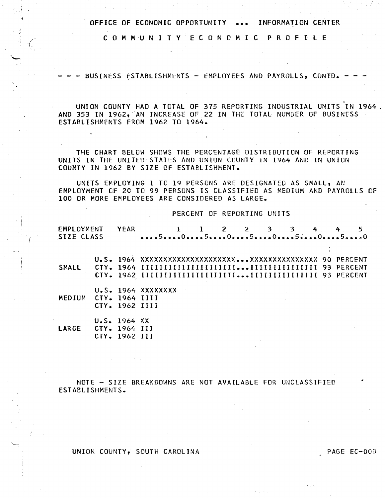COMMUNITY ECONOMIC PROFILE

BUSINESS ESTABLISHMENTS - EMPLOYEES AND PAYROLLS, CONTD. -

UNION COUNTY HAD A TOTAL OF 375 REPORTING INDUSTRIAL UNITS IN 1964. AND 353 IN 1962, AN INCREASE OF 22 IN THE TOTAL NUMBER OF BUSINESS . ESTABLISHMENTS FROM 1962 TO 1964.

THE CHART BELOW SHOWS THE PERCENTAGE DISTRIBUTION OF REPORTING UNITS IN THE UNITED STATES AND UNION COUNTY IN 1964 AND IN UNION COUNTY IN 1962 BY SIZE OF ESTABLISHMENT.

UNITS EMPLOYING 1 TO 19 PERSONS ARE DESIGNATED AS SMALL, AN EMPLOYMENT OF 20 TO 99 PERSONS IS CLASSIFIED AS MEDIUM AND PAYROLLS OF 100 OR MORE EMPLOYEES ARE CONSIDERED AS LARGE.

PERCENT OF REPORTING UNITS

| EMPLOYMENT<br>SIZE CLASS |                | <b>YEAR</b>    |                    | $1 \quad 1 \quad 2 \quad 2 \quad 3 \quad 3 \quad 4$ |  |  |  | 5<br>5050505050 |
|--------------------------|----------------|----------------|--------------------|-----------------------------------------------------|--|--|--|-----------------|
|                          |                |                |                    |                                                     |  |  |  |                 |
|                          |                |                |                    |                                                     |  |  |  |                 |
| <b>SMALL</b>             |                |                |                    |                                                     |  |  |  |                 |
|                          |                |                |                    |                                                     |  |  |  |                 |
|                          |                |                | U.S. 1964 XXXXXXXX |                                                     |  |  |  |                 |
| <b>MEDIUM</b>            | CTY. 1964 IIII |                |                    |                                                     |  |  |  |                 |
|                          |                | CTY. 1962 IIII |                    |                                                     |  |  |  |                 |
|                          |                | U.S. 1964 XX   |                    |                                                     |  |  |  |                 |
|                          |                |                |                    |                                                     |  |  |  |                 |

CTY. 1964 III LARGE CTY. 1962 III

NOTE - SIZE BREAKDOWNS ARE NOT AVAILABLE FOR UNCLASSIFIED ESTABLISHMENTS.

UNION COUNTY, SOUTH CAROLINA

PAGE EC-003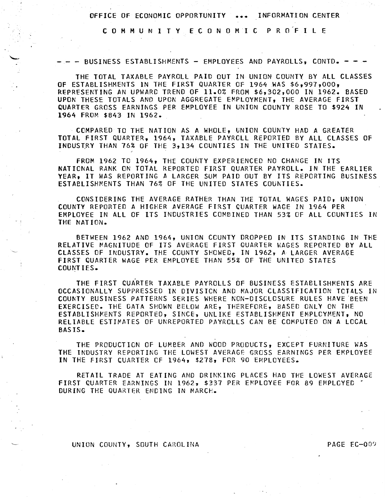C 0 M M UN I T Y E C 0 N 0 M I C P R o'F I l E

- - - BUSINESS ESTABLISHMENTS - EMPLOYEES AND PAYROLLS, CONTD. - - -

THE TOTAL TAXABLE PAYROLL PAID OUT IN UNION COUNTY BY All CLASSES OF ESTABLISHMENTS IN THE FIRST QUARTER OF 1964 WAS \$6,997,000, REPRESENTING AN UPWARD TREND OF 11.0% FROM \$6,302,000 IN 1962. BASED UPON THESE TOTALS AND UPON AGGREGATE EMPLOYMENT, THE AVERAGE FIRST QUARTER GROSS EARNINGS PER EMPLOYEE IN UNION COUNTY ROSE TO \$924 IN 1964 FROM \$843 IN 1962.

COMPARED TO THE NATION AS A WHOLE, UNION COUNTY HAD A GREATER TOTAL FIRST QUARTER, 1964, TAXABLE PAYROLL REPORTED BY All CLASSES OF INDUSTRY THAN 76% OF THE 3,134 COUNTIES IN THE UNITED STATES.

FROM 1962 TO 1964, THE COUNTY EXPERIENCED NO CHANGE IN ITS NATIONAL RANK ON TOTAL REPORTED FIRST QUARTER PAYROLL. IN THE EARLIER YEAR, IT WAS REPORTING A LARGER SUM PAID OUT BY ITS REPORTING BUSINESS ESTABLISHMENTS THAN 76% OF THE UNITED STATES COUNTIES.

CONSIDERING THE AVERAGE RATHER THAN THE TOTAL WAGES PAID, UNION COUNTY REPORTED A HIGnER AVERAGE FIRST QUARTER WAGE IN 1964 PER EMPLOYEE IN All OF ITS INDUSTRIES COMBINED THAN 53% OF All COUNTIES IN THE NATION.

BETWEEN 1962 AND 1964, UNION COUNTY DROPPED IN ITS STANDING IN THE RELATIVE MAGNITUDE OF ITS AVERAGE FIRST QUARTER WAGES REPORTED BY ALL CLASSES OF INDUSTRY. THE COUNTY SHOWED, IN 1962, A LARGER AVERAGE FIRST QUARTER WAGE PER EMPLOYEE THAN 55% OF THE UNITED STATES COUNTIES.

THE FIRST QUARTER TAXABLE PAYROLLS OF BUSINESS ESTABLISHMENTS ARE OCCASIONALLY SUPPRESSED IN OIVISICN AND MAJOR CLASSIFICATION TCTALS IN COUNTY BUSINESS PATTERNS SERIES WHERE NON-DISCLOSURE RULES HAVE BEEN EXERCISED. THE DATA SHOWN eELOW ARE, THEREFORE, BASED ONLY ON THE ESTABLISHMENTS REPORTED, SINCE, UNLIKE ESTABLISHMENT EMPLOYMENT, NO RELIABLE ESTIMATES OF UNREPORTED PAYROLLS CAN BE COMPUTED ON A LOCAL BASIS.

THE PRODUCTION OF LUMBER AND WOOD PRODUCTS, EXCEPT FURNITURE WAS THE INDUSTRY REPORTING THE LOWEST AVERAGE GROSS EARNINGS PER EMPLOYEE IN THE FIRST CUARTER CF 1964, \$278, FOR go EMPLOYEES.

RETAIL TRADE AT EATING AND DRINKING PLACES HAD THE LOWEST AVERAGE FIRST QUARTER EARNINGS IN 1962, \$337 PER EMPLOYEE FOR 89 EMPLOYED.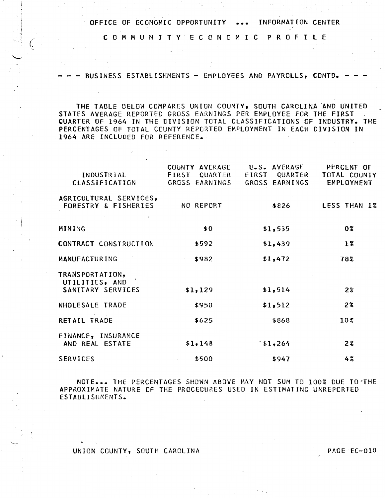C 0 M M U N I T Y E C 0 N 0 M I C P R 0 F I L E

BUSINESS ESTABLISHMENTS - EMPLOYEES AND PAYROLLS, CONTD.

THE TABLE BELOW COMPARES UNION COUNTY, SOUTH CAROLINA 'AND UNITED STATES AVERAGE REPORTED GROSS EARNINGS PER EMPLOYEE FOR THE FIRST QUARTER OF 1964 IN THE DIVISION TOTAL CLASSIFICATIONS OF INDUSTRY. THE PERCENTAGES OF TOTAL COUNTY REPORTED EMPLOYMENT IN EACH DIVISION IN 1964 ARE INCLUDED FOR REFERENCE.

| INDUSTRIAL<br><b>CLASSIFICATION</b>                       | COUNTY AVERAGE<br>FIRST QUARTER<br>GROSS EARNINGS | U.S. AVERAGE<br>FIRST QUARTER<br>GROSS EARNINGS | PERCENT OF<br>TOTAL COUNTY<br>EMPLOYMENT |  |  |  |  |
|-----------------------------------------------------------|---------------------------------------------------|-------------------------------------------------|------------------------------------------|--|--|--|--|
| AGRICULTURAL SERVICES,<br><b>FORESTRY &amp; FISHERIES</b> | NO REPORT                                         | \$826                                           | LESS THAN 1%                             |  |  |  |  |
| MINING                                                    | \$0                                               | \$1,535                                         | 0%                                       |  |  |  |  |
| CONTRACT CONSTRUCTION                                     | \$592                                             | \$1,439                                         | $1\%$                                    |  |  |  |  |
| <b>MANUFACTURING</b>                                      | \$982                                             | \$1,472                                         | 78%                                      |  |  |  |  |
| TRANSPORTATION,<br>UTILITIES, AND<br>SANITARY SERVICES    | \$1,129                                           | \$1,514                                         | $2\%$                                    |  |  |  |  |
| WHOLESALE TRADE                                           | \$958                                             | \$1,512                                         | 28                                       |  |  |  |  |
| RETAIL TRADE                                              | \$625                                             | \$868                                           | 10 <sub>3</sub>                          |  |  |  |  |
| FINANCE, INSURANCE<br>AND REAL ESTATE                     | \$1,148                                           | 1,264                                           | 23                                       |  |  |  |  |
| SERVICES                                                  | \$500                                             | \$947                                           | 4%                                       |  |  |  |  |
|                                                           |                                                   |                                                 |                                          |  |  |  |  |

NOTE... THE PERCENTAGES SHOWN ABOVE MAY NOT SUM TO 100% DUE TO THE APPROXIMATE NATURE OF THE PROCEDURES USED IN ESTIMATING UNREPORTED ESTABLISHMENTS.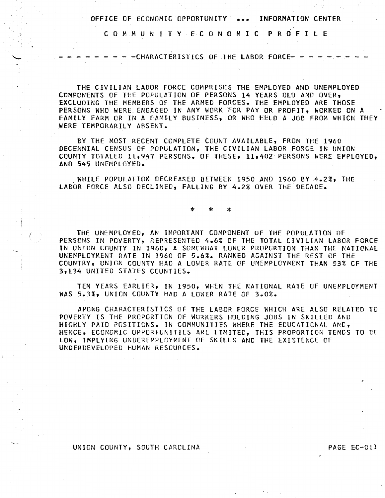C 0 M M U N I T Y E C 0 N 0 M I C P R 0 F I L E

- - - CHARACTERISTICS OF THE LABOR FORCE- - -

THE CIVILIAN LABOR FORCE COMPRISES THE EMPLOYED AND UNEMPLOYED COMPONENTS OF THE POPULATION OF PERSONS 14 YEARS OLD AND OVER, EXCLUDING THE MEMBERS Of THE ARMED FORCES. THE EMPLOYED ARE THOSE PERSONS WHO WERE ENGAGED IN ANY WORK FOR PAY OR PROFIT, WORKED ON A FAMILY FARM OR IN A FAMILY BUSINESS, OR WHO HELD A JOB FROM WHICH THEY WERE TEMPORARILY ABSENT.

BY THE MOST RECENT COMPLETE COUNT AVAILABLE, FROM THE 1960 DECENNIAL CENSUS OF POPULATION, THE CIVILIAN LABOR FORCE IN UNION COUNTY TOTALED 11,947 PERSONS. OF THESE, 11,402 PERSONS WERE EMPLOYED, AND 545 UNEMPLOYED.

. WHILE POPULATION DECREASED BETWEEN 1950 AND 1960 BY 4.2%, THE LABOR FORCE ALSO DECLINED, FALLING BY 4.2% OVER THE DECADE.

\* \* \*

THE UNEMPLOYED, AN IMPORTANT COMPONENT OF THE POPULATION OF PERSONS IN POVERTY, REPRESENTED 4.6% OF THE TOTAL CIVILIAN LABOR FORCE IN UNION COUNTY IN 1960, A SOMEWHAT LOWER PROPORTION THAN THE NATIONAL UNEMPLOYMENT RATE IN 1960 OF 5.6%. RANKED AGAINST THE REST OF THE COUNTRY, UNION COUNTY HAD A LOWER RATE OF UNEMPLOYMENT THAN 53% CF THE 3tl34 UNITED STATES CGUNTIES.

TEN YEARS EARLIER, IN 1950, WHEN THE NATIONAL RATE OF UNEMPLOYMENT WAS 5.3%, UNION COUNTY HAD A LOWER RATE OF 3.0%.

AMONG CHARACTERISTICS OF THE LABOR FORCE WHICH ARE ALSO RELATED TO POVERTY IS THE PROPORTICN OF WORKERS HOLCING JOBS IN SKILLED AND HIGHLY PAID POSITIONS. IN COMMUNITIES WHERE THE ECUCATICNAL AND, HENCE, ECONOMIC OPPORTUNITIES ARE LIMITED, THIS PROPORTION TENDS TO BE LOW, IMPLYING UNDEREMPLOYMENT OF SKILLS AND THE EXISTENCE OF UNDERDEVELOPED HUMAN RESOURCES.

UNION COUNTY, SOUTH CAROLINA PAGE EC-011

 $\cdot$  i

*(*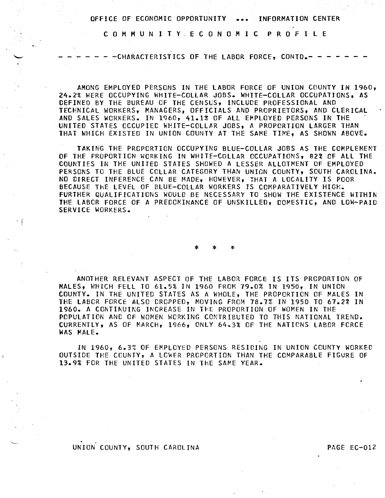C 0 M M U N I T Y . E C 0 N 0 M I C P R 0 F I l E

- - CHARACTERISTICS OF THE LABOR FORCE, CONTD.- -

AMONG EMPLOYED PERSONS IN THE LABOR FORCE OF UNION COUNTY IN 1960, 24.2% ~ERE OCCUPYING WHITE-COLLAR JOBS. WHITE-COLLAR OCCUPATIONS, AS DEFINED BY THE BUREAU OF THE CENSUS, INCLUDE PROFESSIONAL AND TECHNICAL WORKERS, MANAGERS, OFFICIALS AND PROPRIETORS, AND CLERICAL AND SALES WORKERS. IN 1960, 41.1% OF ALL EMPLOYED PERSONS IN THE UNITED STATES OCCUPIED WHITE-COLLAR JOBS, A PROPORTION LARGER THAN THAT WHICH EXISTED IN UNION COUNTY AT THE SAME TIME, AS SHOWN ABOVE.

TAKING THE PROPORTION OCCUPYING BLUE-COLLAR JOBS AS THE COMPLEMENT OF THE PROPORTION WORKING IN WHITE-COLLAR OCCUPATIONS, 82% OF All THE COUNTIES IN THE UNITED STATES SHOWED A LESSER ALLOTMENT OF EMPLOYED PERSONS TO THE BLUE COLLAR CATEGORY THAN UNION COUNTY, SOUTH CAROLINA. NO DIRECT INFERENCE CAN BE MADE, HOWEVER, ~HAT A LOCALITY IS POOR BECAUSE THE LEVEL OF BLUE-COLLAR WORKERS IS COMPARATIVELY HIGH. FURTHER QUALIFICATIONS WOULD BE NECESSARY TO SHOW THE EXISTENCE WITHIN THE LABOR FORCE OF A PREDOMINANCE OF UNSKILLED, DOMESTIC, AND LOW-PAID SERVICE WORKERS.

\* \* \*

ANOTHER RELEVANT ASPECT OF THE LABOR FORCE IS ITS PROPORTION OF MALES, WHICH FELL TO 61.5% IN 1960 FROM 79.0% IN 1950, IN UNION COUNTY. IN THE UNITED STATES AS A WHOLE, THE PROPORTION OF MALES IN THE LABOR FORCE ALSO DROPPED, MOVING FROM 78.7% IN 1950 TO 67.2% IN 1960. A CONTINUING INCREASE IN THE PROPORTION OF WOMEN IN THE POPULATION ANC OF WOMEN WORKING CONTRIBUTED TO THIS NATIONAL TREND. CURRENTLY, AS OF MARCH, 1966, ONLY 64.3% OF THE NATIONS LABOR FORCE WAS MALE.

IN 1960, 6.3% OF EMPLOYED PERSONS RESIDING IN UNION COUNTY WORKED OUTSIDE THE COUNTY, A LOWER PROPORTION THAN THE COMPARABLE FIGURE OF 13.9% FOR THE UNITED STATES IN THE SAME YEAR.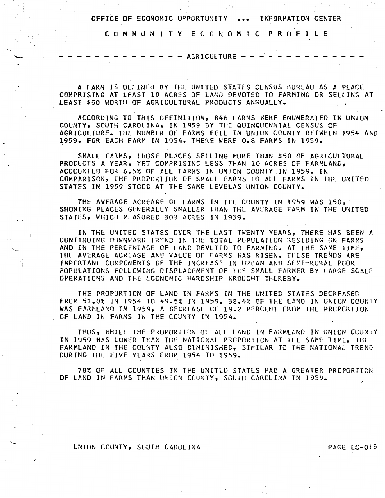C 0 M M U N I T Y E C 0 N 0 M I C P R 0 F I l E

*r* 

 $-$  - AGRICULTURE  $\cdot$ 

A FARM IS DEFINED BY THE UNITED STATES CENSUS. BUREAU AS A PLACE COMPRISING AT LEAST 10 ACRES OF LAND DEVOTED TO FARMING OR SELLING AT lEAST \$50 WORTH OF AGRICULTURAL PRODUCTS ANNUALLY.

ACCORDING TO THIS OEFINITION, 846 FARMS WERE ENUMERATED IN UNION COUNTY, SOUTH CAROLINA, IN 1959 BY THE QUINQUENNIAL CENSUS OF AGRICULtURE. THE NUMBER OF FARMS FELL IN UNION COUNTY BETWEEN 1954 AND 1959. FOR EACH FARM IN 1954, THERE WERE 0.8 FARMS IN 1959.

SMALL FARMS, THOSE PLACES SELLING MORE THAN \$50 OF AGRICULTURAL PRODUCTS A YEAR, YEt COMPRISING LESS THAN 10 ACRES OF FARMLAND, ACCOUNTED FOR 6.5% OF ALL FARMS IN UNION COUNTY IN 1959. IN COMPARISON, THE PROPORTION OF SMALL FARMS TO ALL FARMS IN THE UNITED STATES IN 1959 STOOD AT THE SAKE LEVELAS UNION CCUNTY.

THE AVERAGE ACREAGE OF FARMS IN THE COUNTY IN 1959 WAS 150, SHOWING PLACES GENERALLY SMALLER THAN THE AVERAGE FARM IN THE UNITED STATES, WHICH MEASURED 303 ACRES IN 1959 •

IN THE UNITED STATES OVER THE LAST TWENTY YEARS, THERE HAS BEEN A CONTINUING DOWNWARD TREND IN THE TOTAL POPULATION RESIDING ON FARMS AND IN THE PERCENTAGE OF LAND DEVOTED TO FARMING. AT THE SAME TIME. THE AVERAGE ACREAGE AND VALUE OF FARMS HAS RISEN. THESE TRENDS ARE IMPORTANT COMPONENTS OF THE INCREASE IN URBAN AND SEMI-RURAL POOR POPULATIONS FOLLOWING DISPLACEMENT OF THE SMALL FARMER BY LARGE SCALE OPERATIONS AND THE ECONOMIC HARDSHIP WROUGHT THEREBY.

THE PROPORTION OF LAND IN FARMS IN THE UNITED STATES DECREASED FROM 51.0% IN 1954 TO 49.5% IN 1959. 38.4% OF THE LAND IN UNICN COUNTY WAS FARMLAND IN 1959, A DECREASE CF 19.2 PERCENT FROM THE PROPORTION OF LAND IN FARMS IN THE COUNTY IN 1954.

THUS, WHILE THE PROPORTION OF ALL LAND IN FARMLAND IN UNION CCUNTY IN 1959 WAS LOWER THAN THE NATIONAL PROPORTION AT THE SAME TIME, THE FARMLAND IN THE COUNTY ALSO DIMINISHED, SIMILAR TO THE NATIONAL TREND DURING THE FIVE YEARS FROM 1954 TO 1959.

78% OF All COUNTIES IN THE UNITED STATES HAD A GREATER PROPORTION OF LAND IN FARMS THAN UNION COUNTY, SOUTH CAROLINA IN 1959.

#### UNION COUNTY, SOUTH CAROLINA PAGE EC-013

 $\cdot \cdot \cdot$ 

 $\mathcal{L}$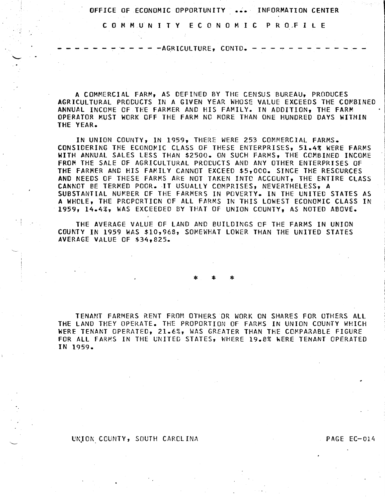C 0 M M UN I T Y E C 0 N 0 M I C P R O,F I l E

 $- -$ AGRICULTURE, CONTD.  $- -$ 

A COMMERCIAL FARM, AS DEFINED BY THE CENSUS BUREAU, PRODUCES AGRICULTURAL PRODUCTS IN A GIVEN YEAR WHOSE VALUE EXCEEDS THE COMBINED ANNUAL INCOME OF THE FARMER AND HIS FAMILY. IN ADDITION, THE FARM OPERATOR MUST WORK OFF THE FARM NO MORE THAN ONE HUNDRED DAYS WITHIN

IN UNION COUNTY, IN 1959, THERE WERE 253 COMMERCIAL FARMS. CONSIDERING THE ECONOMIC CLASS OF THESE ENTERPRISES, 51.4% WERE FARMS WITH ANNUAL SALES LESS THAN \$2500. ON SUCH FARMS, THE COMBINED INCOME FROM THE SALE OF AGRICULTURAL PRODUCTS AND ANY OTHER ENTERPRISES OF THE FARMER AND HIS FAMILY CANNOT EXCEED \$5,000. SINCE THE RESOURCES AND NEEDS OF THESE FARMS ARE NOT TAKEN INTC ACCOUNT, THE ENTIRE CLASS CANNOT BE TERMED POOR. ·IT USUALLY COMPRISES, NEVERTHELESS, A SUBSTANTIAL NUMBER OF THE FARMERS IN POVERTY. IN THE UNITED STATES AS *A* WHOLE, THE PROPORTION OF All FARMS IN THIS LOWEST ECONOMIC CLASS IN 1959, 14.4%, WAS EXCEEDED BY THAT OF UNION COUNTY, AS NOTED ABOVE.

THE AVERAGE VALUE OF LAND AND BUILDINGS OF THE FARMS IN UNION COUNTY IN 1959 WAS \$10,968, SOMEWHAT LOWER THAN THE UNITED STATES AVERAGE VALUE OF \$34,825.

\* \*

TENANT FARMERS RENT FROM OTHERS OR WORK ON SHARES FOR OTHERS All THE LAND THEY OPERATE. THE PROPORTION OF FARMS IN UNION COUNTY WHICH WERE TENANT OPERATED, 21.6%, WAS GREATER THAN THE COMPARABLE FIGURE FOR All FARMS IN THE UNITED STATES, WHERE 19.8% WERE TENANT OPERATED IN 1959.

## UNION COUNTY, SOUTH CAROLINA PAGE EC-014

 $\cdot$   $\cdot$  i

THE YEAR.

 $\smile$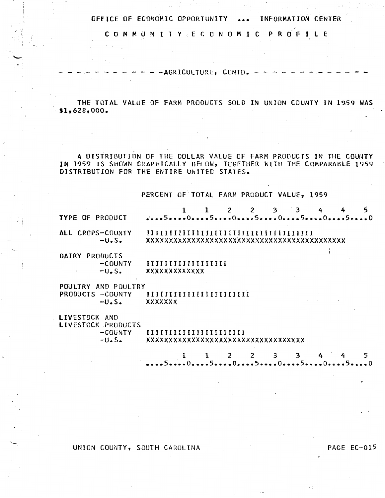COMMUNITY ECONOMIC PROFILE

- - AGRICULTURE, CONTD. -

THE TOTAL VALUE OF FARM PRODUCTS SOLD IN UNION COUNTY IN 1959 WAS  $$1,628,000.$ 

A DISTRIBUTION OF THE DOLLAR VALUE OF FARM PRODUCTS IN THE COUNTY IN 1959 IS SHOWN GRAPHICALLY BELOW, TOGETHER WITH THE COMPARABLE 1959 DISTRIBUTION FOR THE ENTIRE UNITED STATES.

PERCENT OF TOTAL FARM PRODUCT VALUE, 1959

| TYPE OF PRODUCT                     |                      |                                           |  | 2 2 3 3 |  |              | 4                         | 5 |
|-------------------------------------|----------------------|-------------------------------------------|--|---------|--|--------------|---------------------------|---|
| ALL CROPS-COUNTY                    | $-U.S.$              | xxxxxxxxxxxxxxxxxxxxxxxxxxxxxxxxxxxxx     |  |         |  |              |                           |   |
| DAIRY PRODUCTS                      |                      |                                           |  |         |  |              |                           |   |
|                                     | -COUNTY              | IIIIIIIIIIIIIIIIIII                       |  |         |  |              |                           |   |
|                                     | $-U.S.$              | <b>XXXXXXXXXXXXX</b>                      |  |         |  |              |                           |   |
| POULTRY AND POULTRY                 |                      |                                           |  |         |  |              |                           |   |
| PRODUCTS -COUNTY                    | $-U\bullet S\bullet$ | IIIIIIIIIIIIIIIIIIIIIII<br><b>XXXXXXX</b> |  |         |  |              |                           |   |
| LIVESTOCK AND<br>LIVESTOCK PRODUCTS |                      |                                           |  |         |  |              |                           |   |
|                                     | -COUNTY              |                                           |  |         |  |              |                           |   |
|                                     | $-U\bullet S\bullet$ | xxxxxxxxxxxxxxxxxxxxxxxxxxxxxxxx          |  |         |  |              |                           |   |
|                                     |                      |                                           |  | 2       |  | $\mathbf{z}$ | $\mathbf{A}$ $\mathbf{A}$ | ς |

UNION COUNTY, SOUTH CAROLINA

PAGE EC-015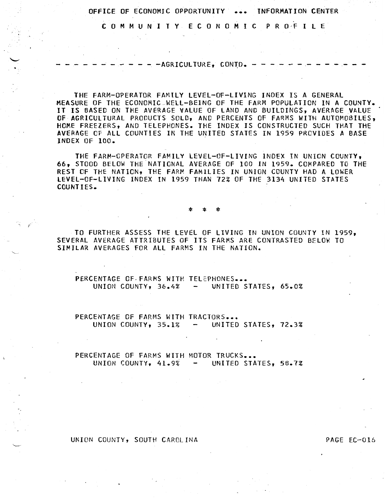C 0 M M U N I T Y E C 0 N 0 M I C P R O·F I L E

 $- - -$  AGRICULTURE, CONTD.  $- -$ 

THE FARM-OPERATOR FAMILY LEVEL-OF-LIVING INDEX IS A GENERAL MEASURE OF THE ECONOMIC .WELL-BEING OF THE FARM POPULATION IN A COUNTY. IT IS BASED ON THE AVERAGE VALUE OF LAND AND BUILDINGS, AVERAGE VALUE OF AGRICULTURAL PRODUCTS SOLD, AND PERCENTS OF FARMS WITH AUTOMOBILES, HOME FREEZERS, AND TELEPHONES. THE INDEX IS CONSTRUCTED SUCH THAT THE AVERAGE OF All COUNTIES IN THE UNITED STATES IN 1959 PROVIDES A BASE INDEX OF 100.

THE FARM-OPERATOR FAMILY LEVEL-OF-LIVING INDEX IN UNION COUNTY, 66, STOOD BELOW THE NATIONAL AVERAGE OF 100 IN 1959. COMPARED TO THE REST CF THE NATION, THE FARM FAMILIES IN UNION COUNTY HAD A lOWER LEVEL-OF-LIVING INDEX IN 1959 THAN 72% OF THE 3134 UNITED STATES COUNTIES. .

\* \* \*

TO FURTHER ASSESS THE LEVEL OF LIVING IN UNION COUNTY IN 1959, SEVERAL AVERAGE ATTRIBUTES OF ITS FARMS ARE CONTRASTED BELOW TO SIMILAR AVERAGES FOR All FARMS IN THE NATION.

PERCENTAGE OF FARMS WITH TELEPHONES ... UNION COUNTY,  $36.4%$  - UNITED STATES,  $65.0%$ 

PERCENTAGE OF FARMS WITH TRACTORS... UNION COUNTY, 35.1% - UNITED STATES, 72.3%

PERCENTAGE OF FARMS WITH MOTOR TRUCKS... UNION COUNTY,  $41.9\%$  - UNITED STATES, 58.7%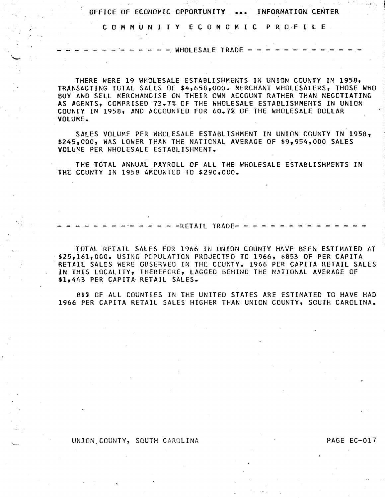C 0 M M U N I T Y E C 0 N 0 M I C P R O·f I L E

 $- -$  WHOLESALE TRADE  $-$ 

THERE WERE 19 WHOLESALE ESTABLISHMENTS IN UNION COUNTY IN 1958• TRANSACTING TOTAL SALES OF \$4,658.000. MERCHANT WHOLESALERS, THOSE WHO BUY AND SELL MERCHANDISE ON THEIR OWN ACCOUNT RATHER THAN NEGOTIATING AS AGENTS, COMPRISED 73.7% OF THE WHOLESALE ESTABLISHMENTS IN UNION COUNTY IN 1958, AND ACCOUNTED FOR 60.7% OF THE WHOLESALE DOLLAR VOLUME.

SALES VOLUME PER WHCLESALE ESTABLISHMENT IN UNION COUNTY IN 1958, \$245,000, WAS LOWER THAN THE NATIONAL AVERAGE OF \$9,954,000 SALES VOLUME PER WHOLESALE ESTABLISHMENT.

THE TOTAL ANNUAL PAYROLL OF All THE WHOLESALE ESTABLISHMENTS IN THE COUNTY IN 1958 AMOUNTED TO \$290,000.

.<br>- - - - - - - - - - - - - RETAIL TRADE- - - - - - - - - - - - - -

TOTAL RETAIL SALES FOR 1966 IN UNION COUNTY HAVE BEEN ESTIMATED AT \$25,161,000. USING POPULATION PROJECTED TO 1966, \$853 OF PER CAPITA RETAIL SALES WERE GBSERVED IN THE COUNTY. 1966 PER CAPITA RETAIL SALES IN THIS LOCALITY, THEREFORE, LAGGED BEHIND THE NATIONAL AVERAGE OF \$1,443 PER CAPITA RETAIL SALES.

81% OF All COUNTIES IN THE UNITED STATES ARE ESTIMATED TO HAVE HAD 1966 PER CAPITA RETAIL SALES HIGHER THAN UNION COUNTY, SOUTH CAROLINA.

UNION COUNTY, SOUTH CAROLINA PAGE EC-017

. I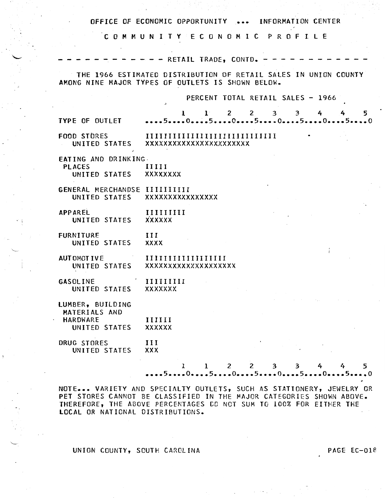|                                                                       | OFFICE OF ECONOMIC OPPORTUNITY  INFORMATION CENTER                                                                   |
|-----------------------------------------------------------------------|----------------------------------------------------------------------------------------------------------------------|
|                                                                       | COMMUNITY ECONOMIC PROFILE                                                                                           |
|                                                                       | - RETAIL TRADE, CONTD. -                                                                                             |
|                                                                       | THE 1966 ESTIMATED DISTRIBUTION OF RETAIL SALES IN UNION COUNTY<br>AMONG NINE MAJOR TYPES OF OUTLETS IS SHOWN BELOW. |
|                                                                       | PERCENT TOTAL RETAIL SALES - 1966                                                                                    |
| TYPE OF OUTLET                                                        | $1^{\circ}$<br>$\mathbf{2}$<br>$\mathbf{2}$<br>$\mathbf{3}$<br>3<br>4<br>5.<br>ı.<br>4<br>50505050050                |
|                                                                       | FOOD STORES IIIIIIIIIIIIIIIIIIIIIIIIIIIIII<br>UNITED STATES XXXXXXXXXXXXXXXXXXXXXX                                   |
| EATING AND DRINKING.<br><b>PLACES</b><br>UNITED STATES XXXXXXXX       | IIIII                                                                                                                |
| GENERAL MERCHANDSE IIIIIIIIII                                         | UNITED STATES XXXXXXXXXXXXXXX                                                                                        |
| <b>APPAREL</b><br>UNITED STATES                                       | IIIIIIIII<br>XXXXXX                                                                                                  |
| <b>FURNITURE</b><br>UNITED STATES                                     | III<br><b>XXXX</b>                                                                                                   |
| <b>AUTOMOTIVE</b>                                                     | UNITED STATES XXXXXXXXXXXXXXXXXXX                                                                                    |
| <b>GASOLINE</b><br>UNITED STATES XXXXXXX                              | $\blacksquare$ IIIIIIIIIIIIII                                                                                        |
| LUMBER, BUILDING<br>MATERIALS AND<br><b>HARDWARE</b><br>UNITED STATES | and the control of the control of the control of the control of<br>IIIIII<br><b>XXXXXX</b>                           |
| DRUG STORES<br>UNITED STATES                                          | III<br>XXX                                                                                                           |
|                                                                       | $\overline{2}$<br>$\mathbf{2}$<br>3<br>T.<br>$\mathbf{1}$<br>3<br>5<br>4                                             |

NOTE... VARIETY AND SPECIALTY OUTLETS, SUCH AS STATIONERY, JEWELRY OR PET STORES CANNOT BE CLASSIFIED IN THE MAJOR CATEGORIES SHOWN ABOVE. THEREFORE, THE ABOVE PERCENTAGES CO NOT SUM TO 100% FOR EITHER THE LOCAL OR NATIONAL DISTRIBUTIONS.

# UNION COUNTY, SCUTH CAROLINA PAGE EC-018

 $\mathcal{L}$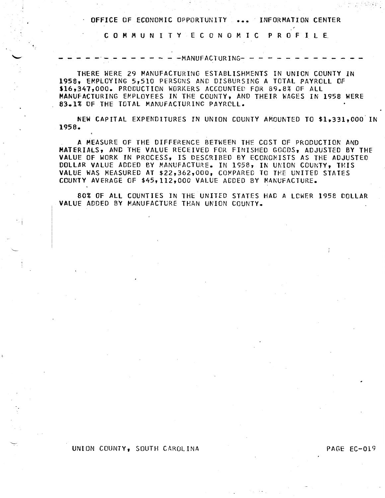C 0 M M U N I T Y E C 0 N 0 M I C P R 0 F I l E.

 $-MANUFACTURING- -$ 

THERE WERE 29 MANUFACTURING ESTABLISHMENTS IN UNION COUNTY IN 1958, EMPLOYING 5,510 PERSONS AND DISBURSING A TOTAL PAYROLL OF \$16,347,000. PRODUCTION WORKERS ACCOUNTED FOR 89.8% OF ALL MANUFACTURING EMPLOYEES IN THE COUNTY, AND THEIR WAGES IN 1958 WERE 83.1% OF THE TOTAL MANUFACTURING PAYROLL.

NEW CAPITAL EXPENDITURES IN UNION COUNTY AMOUNTED TO \$1,331,000 IN 1958.

A MEASURE OF THE DIFFERENCE BETWEEN THE COST OF PRODUCTION AND MATERIALS, AND THE VALUE RECEIVED FOR FINISHED GOCOS, ADJUSTED BY THE VALUE OF WORK IN PROCESS, IS DESCRIBED BY ECONOMISTS AS THE ADJUSTED DOLLAR VALUE ADDED BY MANUFACTURE. IN 1958, IN UKION COUNTY, THIS VALUE WAS MEASURED AT \$22,362,000, COMPARED TO THE UNITED STATES COUNTY AVERAGE OF \$45,112,000 VALUE ADDEO BY MANUFACTURE.

80% OF ALL COUNTIES IN THE UNITED STATES HAD A LCWER 195e DOLLAR VALUE ADDED BY MANUFACTURE THAN UNION COUNTY.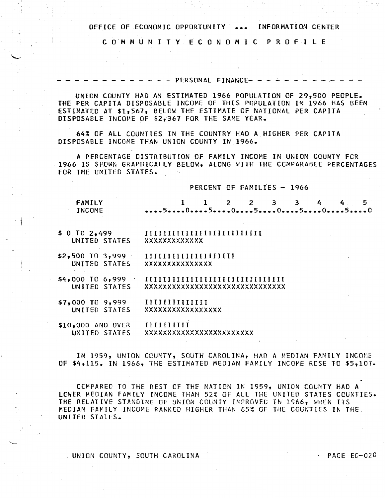C 0 M M U N I T Y E C 0 N 0 M I C P R 0 F I L E

 $- - - -$  PERSONAL FINANCE- $-$ 

UNION COUNTY HAD AN ESTIMATED 1966 POPULATION OF 29,500 PEOPLE. THE PER CAPITA DISPOSABLE INCOME OF THIS POPULATION IN 1966 HAS BEEN ESTIMATED AT \$1,567, BELOW THE ESTIMATE OF NATIONAL PER CAPITA DISPOSABLE INCOME OF \$2,367 FOR THE SAME YEAR.

64% OF All COUNTIES IN THE COUNTRY HAD A HIGHER PER CAPITA DISPOSABLE INCOME THAN UNION COUNTY IN 1966.

A PERCENTAGE DISTRIBUTION OF FAMILY INCOME IN UNION COUNTY FCR 1966 IS SHOWN GRAPHICALLY BELOW, ALONG WITH THE CCMPARABLE PERCENTAGES FOR THE UNITED STATES.

#### PERCENT OF FAMILIES - 1966

| <b>FAMILY</b><br>INCOME          | 50505050050  |  |  |  | $1 \quad 1 \quad 2 \quad 2 \quad 3 \quad 3 \quad 4 \quad 4 \quad 5$ |  |
|----------------------------------|--------------|--|--|--|---------------------------------------------------------------------|--|
| $$0$ TO $2,499$<br>UNITED STATES | XXXXXXXXXXXX |  |  |  |                                                                     |  |

- \$2,500 TO 3,999 UNITED STATES IIIIIIIIIIIIIIIIIIII xxxxxxxxxxxxxxx
- \$4,000 TO 6,999 · IIIIIIIIIIIIIIIIIIIIIIIIIIIIIII UNITED STATES xxxxxxxxxxxxxxxxxxxxxxxxxxxxxxx
- \$7,000 TO 9,999 UNITED STATES IIIIIIIIIIIIII xxxxxxxxxxxxxxxxx
- \$10,000 AND OVER UNITED STATES IIIIIIIIII xxxxxxxxxxxxxxxxxxxxxxxx

IN 1959, UNION COUNTY, SOUTH CAROLINA, HAD A MEDIAN FAMILY INCOME OF \$4,115. IN 1966, THE ESTIMATED MEDIAN FAMILY INCOME ROSE TO \$5,107.

CCMPAREC TO THE REST CF THE NATION IN 1959, UNION COUNTY HAD A LOWER MEDIAN FAMILY INCOME THAN 52% OF All THE UNITED STATES COUNTIES. THE RELATIVE STANDING OF UNION COUNTY IMPROVED IN 1966, WHEN ITS MEDIAN FAMILY INCOME RANKED HIGHER THAN 65% OF THE COUNTIES IN THE UNITED STATES.